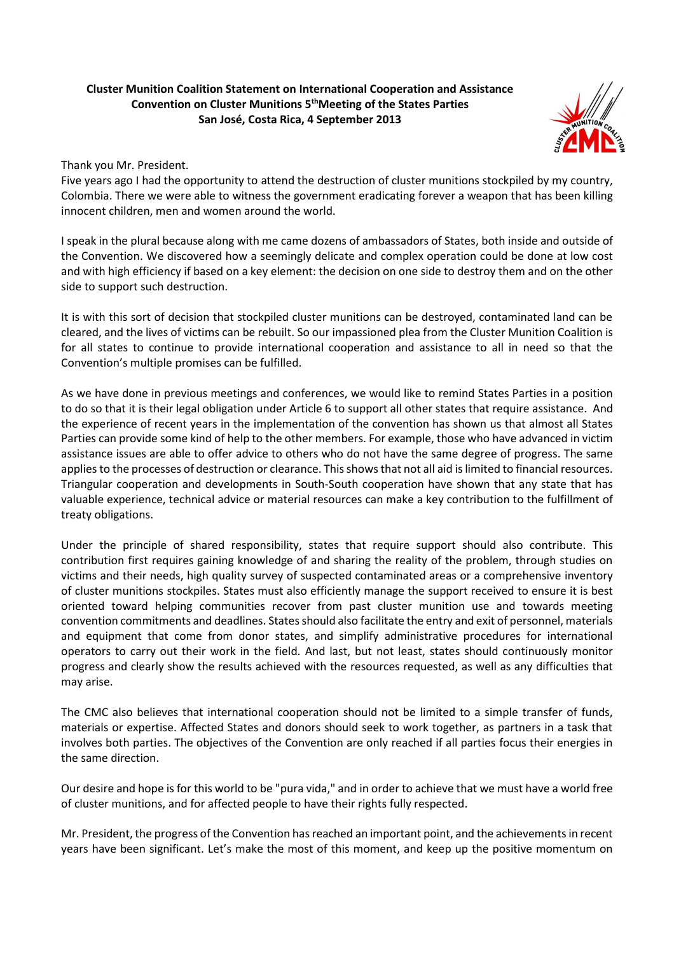## **Cluster Munition Coalition Statement on International Cooperation and Assistance Convention on Cluster Munitions 5thMeeting of the States Parties San José, Costa Rica, 4 September 2013**



Thank you Mr. President.

Five years ago I had the opportunity to attend the destruction of cluster munitions stockpiled by my country, Colombia. There we were able to witness the government eradicating forever a weapon that has been killing innocent children, men and women around the world.

I speak in the plural because along with me came dozens of ambassadors of States, both inside and outside of the Convention. We discovered how a seemingly delicate and complex operation could be done at low cost and with high efficiency if based on a key element: the decision on one side to destroy them and on the other side to support such destruction.

It is with this sort of decision that stockpiled cluster munitions can be destroyed, contaminated land can be cleared, and the lives of victims can be rebuilt. So our impassioned plea from the Cluster Munition Coalition is for all states to continue to provide international cooperation and assistance to all in need so that the Convention's multiple promises can be fulfilled.

As we have done in previous meetings and conferences, we would like to remind States Parties in a position to do so that it is their legal obligation under Article 6 to support all other states that require assistance. And the experience of recent years in the implementation of the convention has shown us that almost all States Parties can provide some kind of help to the other members. For example, those who have advanced in victim assistance issues are able to offer advice to others who do not have the same degree of progress. The same applies to the processes of destruction or clearance. This shows that not all aid is limited to financial resources. Triangular cooperation and developments in South-South cooperation have shown that any state that has valuable experience, technical advice or material resources can make a key contribution to the fulfillment of treaty obligations.

Under the principle of shared responsibility, states that require support should also contribute. This contribution first requires gaining knowledge of and sharing the reality of the problem, through studies on victims and their needs, high quality survey of suspected contaminated areas or a comprehensive inventory of cluster munitions stockpiles. States must also efficiently manage the support received to ensure it is best oriented toward helping communities recover from past cluster munition use and towards meeting convention commitments and deadlines. States should also facilitate the entry and exit of personnel, materials and equipment that come from donor states, and simplify administrative procedures for international operators to carry out their work in the field. And last, but not least, states should continuously monitor progress and clearly show the results achieved with the resources requested, as well as any difficulties that may arise.

The CMC also believes that international cooperation should not be limited to a simple transfer of funds, materials or expertise. Affected States and donors should seek to work together, as partners in a task that involves both parties. The objectives of the Convention are only reached if all parties focus their energies in the same direction.

Our desire and hope is for this world to be "pura vida," and in order to achieve that we must have a world free of cluster munitions, and for affected people to have their rights fully respected.

Mr. President, the progress of the Convention has reached an important point, and the achievements in recent years have been significant. Let's make the most of this moment, and keep up the positive momentum on